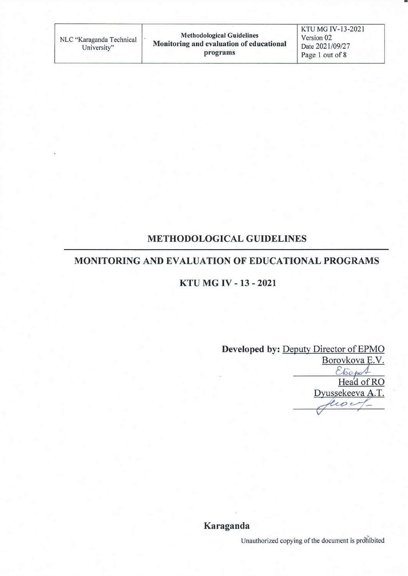# **METHODOLOGICAL GUIDELINES**

## **MONITORING AND EVALUATION OF EDUCATIONAL PROGRAMS**

# KTU MG IV - 13 - 2021

Developed by: Deputy Director of EPMO Borovkova E.V. Head of RO Dyussekeeva A.T. eco e

#### Karaganda

Unauthorized copying of the document is prohibited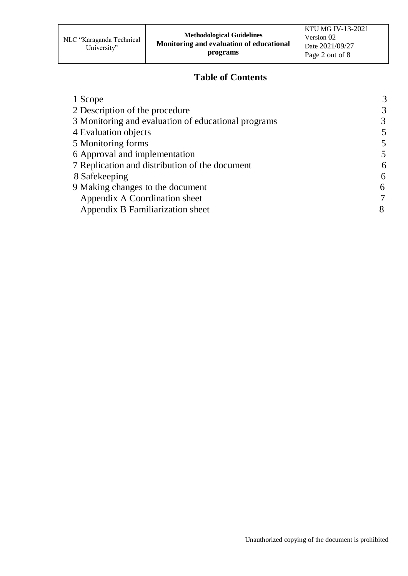## **Table of Contents**

| 1 Scope                                             | 3 |
|-----------------------------------------------------|---|
| 2 Description of the procedure                      | 3 |
| 3 Monitoring and evaluation of educational programs | 3 |
| 4 Evaluation objects                                | 5 |
| 5 Monitoring forms                                  | 5 |
| 6 Approval and implementation                       | 5 |
| 7 Replication and distribution of the document      | 6 |
| 8 Safekeeping                                       | 6 |
| 9 Making changes to the document                    | 6 |
| Appendix A Coordination sheet                       |   |
| Appendix B Familiarization sheet                    | 8 |
|                                                     |   |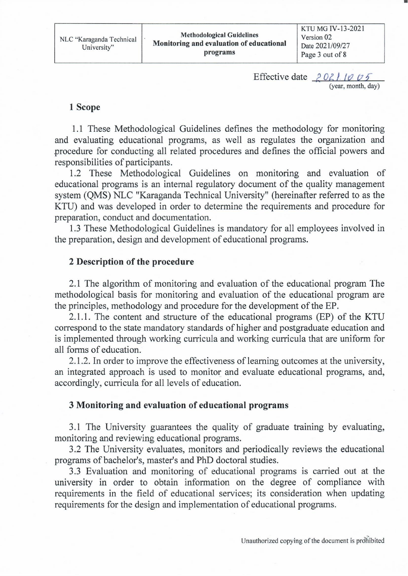Effective date  $202/1005$ (year, month, day)

#### 1 Scope

1.1 These Methodological Guidelines defines the methodology for monitoring and evaluating educational programs, as well as regulates the organization and procedure for conducting all related procedures and defines the official powers and responsibilities of participants.

1.2 These Methodological Guidelines on monitoring and evaluation of educational programs is an internal regulatory document of the quality management system (QMS) NLC "Karaganda Technical University" (hereinafter referred to as the KTU) and was developed in order to determine the requirements and procedure for preparation, conduct and documentation.

1.3 These Methodological Guidelines is mandatory for all employees involved in the preparation, design and development of educational programs.

## 2 Description of the procedure

2.1 The algorithm of monitoring and evaluation of the educational program The methodological basis for monitoring and evaluation of the educational program are the principles, methodology and procedure for the development of the EP.

2.1.1. The content and structure of the educational programs (EP) of the KTU correspond to the state mandatory standards of higher and postgraduate education and is implemented through working curricula and working curricula that are uniform for all forms of education.

2.1.2. In order to improve the effectiveness of learning outcomes at the university, an integrated approach is used to monitor and evaluate educational programs, and, accordingly, curricula for all levels of education.

## 3 Monitoring and evaluation of educational programs

3.1 The University guarantees the quality of graduate training by evaluating, monitoring and reviewing educational programs.

3.2 The University evaluates, monitors and periodically reviews the educational programs of bachelor's, master's and PhD doctoral studies.

3.3 Evaluation and monitoring of educational programs is carried out at the university in order to obtain information on the degree of compliance with requirements in the field of educational services; its consideration when updating requirements for the design and implementation of educational programs.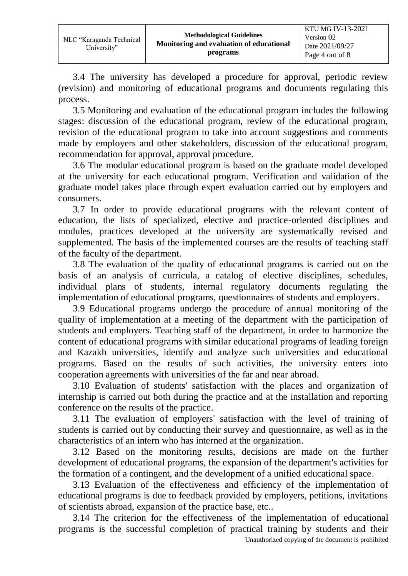3.4 The university has developed a procedure for approval, periodic review (revision) and monitoring of educational programs and documents regulating this process.

3.5 Monitoring and evaluation of the educational program includes the following stages: discussion of the educational program, review of the educational program, revision of the educational program to take into account suggestions and comments made by employers and other stakeholders, discussion of the educational program, recommendation for approval, approval procedure.

3.6 The modular educational program is based on the graduate model developed at the university for each educational program. Verification and validation of the graduate model takes place through expert evaluation carried out by employers and consumers.

3.7 In order to provide educational programs with the relevant content of education, the lists of specialized, elective and practice-oriented disciplines and modules, practices developed at the university are systematically revised and supplemented. The basis of the implemented courses are the results of teaching staff of the faculty of the department.

3.8 The evaluation of the quality of educational programs is carried out on the basis of an analysis of curricula, a catalog of elective disciplines, schedules, individual plans of students, internal regulatory documents regulating the implementation of educational programs, questionnaires of students and employers.

3.9 Educational programs undergo the procedure of annual monitoring of the quality of implementation at a meeting of the department with the participation of students and employers. Teaching staff of the department, in order to harmonize the content of educational programs with similar educational programs of leading foreign and Kazakh universities, identify and analyze such universities and educational programs. Based on the results of such activities, the university enters into cooperation agreements with universities of the far and near abroad.

3.10 Evaluation of students' satisfaction with the places and organization of internship is carried out both during the practice and at the installation and reporting conference on the results of the practice.

3.11 The evaluation of employers' satisfaction with the level of training of students is carried out by conducting their survey and questionnaire, as well as in the characteristics of an intern who has interned at the organization.

3.12 Based on the monitoring results, decisions are made on the further development of educational programs, the expansion of the department's activities for the formation of a contingent, and the development of a unified educational space.

3.13 Evaluation of the effectiveness and efficiency of the implementation of educational programs is due to feedback provided by employers, petitions, invitations of scientists abroad, expansion of the practice base, etc..

Unauthorized copying of the document is prohibited 3.14 The criterion for the effectiveness of the implementation of educational programs is the successful completion of practical training by students and their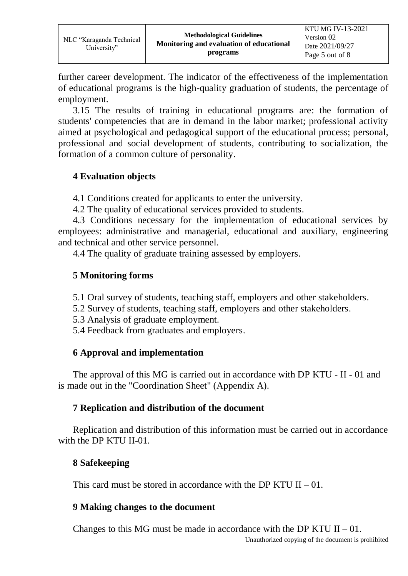further career development. The indicator of the effectiveness of the implementation of educational programs is the high-quality graduation of students, the percentage of employment.

3.15 The results of training in educational programs are: the formation of students' competencies that are in demand in the labor market; professional activity aimed at psychological and pedagogical support of the educational process; personal, professional and social development of students, contributing to socialization, the formation of a common culture of personality.

# **4 Evaluation objects**

4.1 Conditions created for applicants to enter the university.

4.2 The quality of educational services provided to students.

4.3 Conditions necessary for the implementation of educational services by employees: administrative and managerial, educational and auxiliary, engineering and technical and other service personnel.

4.4 The quality of graduate training assessed by employers.

# **5 Monitoring forms**

- 5.1 Oral survey of students, teaching staff, employers and other stakeholders.
- 5.2 Survey of students, teaching staff, employers and other stakeholders.
- 5.3 Analysis of graduate employment.
- 5.4 Feedback from graduates and employers.

# **6 Approval and implementation**

The approval of this MG is carried out in accordance with DP KTU - II - 01 and is made out in the "Coordination Sheet" (Appendix A).

# **7 Replication and distribution of the document**

Replication and distribution of this information must be carried out in accordance with the DP KTU II-01.

# **8 Safekeeping**

This card must be stored in accordance with the DP KTU  $II - 01$ .

# **9 Making changes to the document**

Changes to this MG must be made in accordance with the DP KTU  $II - 01$ .

Unauthorized copying of the document is prohibited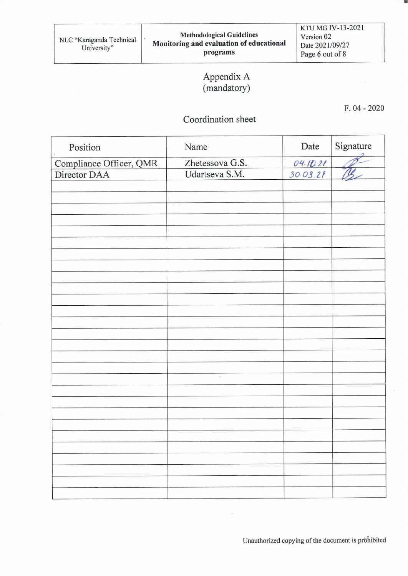KTU MG IV-13-2021 Version 02 Date 2021/09/27 Page 6 out of 8

# Appendix A<br>(mandatory)

 $F. 04 - 2020$ 

# Coordination sheet

| Position                | Name            | Date     | Signature |
|-------------------------|-----------------|----------|-----------|
| Compliance Officer, QMR | Zhetessova G.S. |          |           |
| Director DAA            | Udartseva S.M.  | 04.10.21 |           |
|                         |                 |          |           |
|                         |                 |          |           |
|                         |                 |          |           |
|                         |                 |          |           |
|                         |                 |          |           |
|                         |                 |          |           |
|                         |                 |          |           |
|                         |                 |          |           |
|                         |                 |          |           |
|                         |                 |          |           |
|                         |                 |          |           |
|                         |                 |          |           |
|                         |                 |          |           |
|                         |                 |          |           |
|                         |                 |          |           |
|                         |                 |          |           |
|                         |                 |          |           |
|                         | $\sim$          |          |           |
|                         |                 |          |           |
|                         |                 |          |           |
|                         |                 |          |           |
|                         |                 |          |           |
|                         |                 |          |           |
|                         |                 |          |           |
|                         |                 |          |           |
|                         |                 |          |           |
|                         |                 |          |           |
|                         |                 |          |           |

Unauthorized copying of the document is prohibited